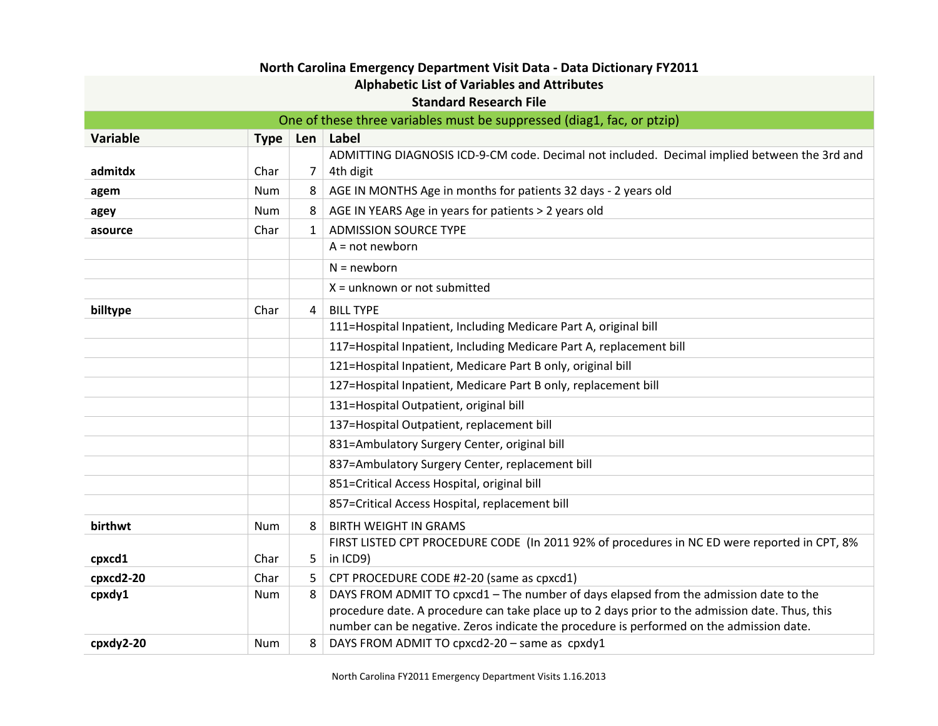| North Carolina Emergency Department Visit Data - Data Dictionary FY2011 |                               |            |                                                                                                                                                                                          |  |
|-------------------------------------------------------------------------|-------------------------------|------------|------------------------------------------------------------------------------------------------------------------------------------------------------------------------------------------|--|
| <b>Alphabetic List of Variables and Attributes</b>                      |                               |            |                                                                                                                                                                                          |  |
|                                                                         | <b>Standard Research File</b> |            |                                                                                                                                                                                          |  |
|                                                                         |                               |            | One of these three variables must be suppressed (diag1, fac, or ptzip)                                                                                                                   |  |
| <b>Variable</b>                                                         |                               | Type   Len | Label                                                                                                                                                                                    |  |
|                                                                         |                               |            | ADMITTING DIAGNOSIS ICD-9-CM code. Decimal not included. Decimal implied between the 3rd and                                                                                             |  |
| admitdx                                                                 | Char                          | 7          | 4th digit                                                                                                                                                                                |  |
| agem                                                                    | Num                           | 8          | AGE IN MONTHS Age in months for patients 32 days - 2 years old                                                                                                                           |  |
| agey                                                                    | Num                           | 8          | AGE IN YEARS Age in years for patients > 2 years old                                                                                                                                     |  |
| asource                                                                 | Char                          | 1          | <b>ADMISSION SOURCE TYPE</b>                                                                                                                                                             |  |
|                                                                         |                               |            | $A = not newborn$                                                                                                                                                                        |  |
|                                                                         |                               |            | $N = newborn$                                                                                                                                                                            |  |
|                                                                         |                               |            | $X =$ unknown or not submitted                                                                                                                                                           |  |
| billtype                                                                | Char                          | 4          | <b>BILL TYPE</b>                                                                                                                                                                         |  |
|                                                                         |                               |            | 111=Hospital Inpatient, Including Medicare Part A, original bill                                                                                                                         |  |
|                                                                         |                               |            | 117=Hospital Inpatient, Including Medicare Part A, replacement bill                                                                                                                      |  |
|                                                                         |                               |            | 121=Hospital Inpatient, Medicare Part B only, original bill                                                                                                                              |  |
|                                                                         |                               |            | 127=Hospital Inpatient, Medicare Part B only, replacement bill                                                                                                                           |  |
|                                                                         |                               |            | 131=Hospital Outpatient, original bill                                                                                                                                                   |  |
|                                                                         |                               |            | 137=Hospital Outpatient, replacement bill                                                                                                                                                |  |
|                                                                         |                               |            | 831=Ambulatory Surgery Center, original bill                                                                                                                                             |  |
|                                                                         |                               |            | 837=Ambulatory Surgery Center, replacement bill                                                                                                                                          |  |
|                                                                         |                               |            | 851=Critical Access Hospital, original bill                                                                                                                                              |  |
|                                                                         |                               |            | 857=Critical Access Hospital, replacement bill                                                                                                                                           |  |
| birthwt                                                                 | Num                           | 8          | <b>BIRTH WEIGHT IN GRAMS</b>                                                                                                                                                             |  |
|                                                                         |                               |            | FIRST LISTED CPT PROCEDURE CODE (In 2011 92% of procedures in NC ED were reported in CPT, 8%                                                                                             |  |
| cpxcd1                                                                  | Char                          | 5          | in ICD9)                                                                                                                                                                                 |  |
| cpxcd2-20                                                               | Char                          | 5          | CPT PROCEDURE CODE #2-20 (same as cpxcd1)                                                                                                                                                |  |
| cpxdy1                                                                  | <b>Num</b>                    | 8          | DAYS FROM ADMIT TO cpxcd1 - The number of days elapsed from the admission date to the<br>procedure date. A procedure can take place up to 2 days prior to the admission date. Thus, this |  |
|                                                                         |                               |            | number can be negative. Zeros indicate the procedure is performed on the admission date.                                                                                                 |  |
| cpxdy2-20                                                               | <b>Num</b>                    | 8          | DAYS FROM ADMIT TO cpxcd2-20 - same as cpxdy1                                                                                                                                            |  |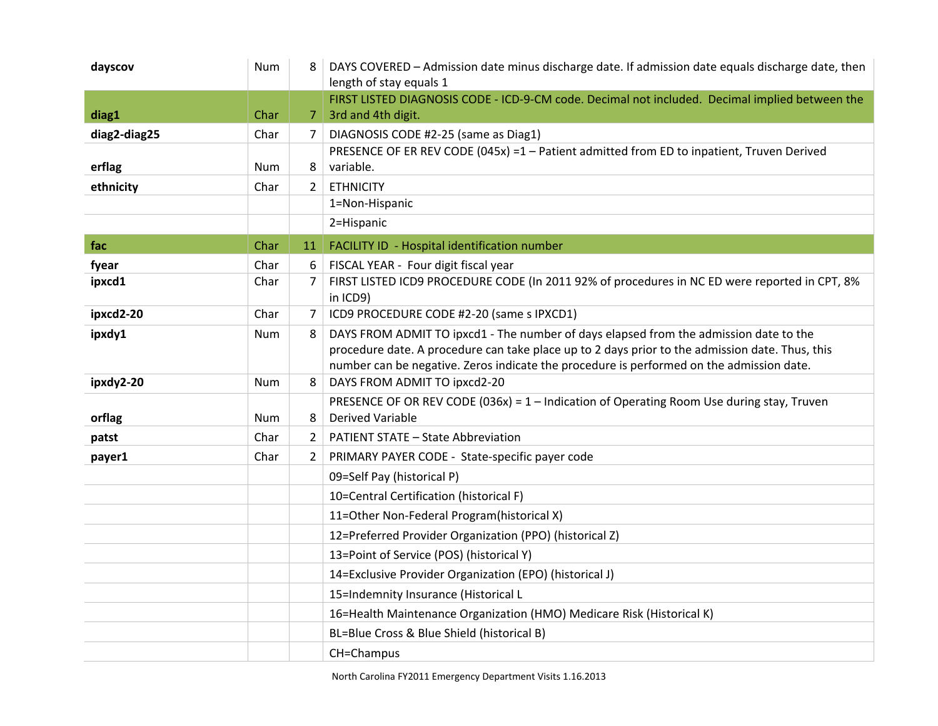| dayscov      | <b>Num</b> |                | DAYS COVERED - Admission date minus discharge date. If admission date equals discharge date, then                      |
|--------------|------------|----------------|------------------------------------------------------------------------------------------------------------------------|
|              |            |                | length of stay equals 1                                                                                                |
| diag1        | Char       |                | FIRST LISTED DIAGNOSIS CODE - ICD-9-CM code. Decimal not included. Decimal implied between the<br>7 3rd and 4th digit. |
| diag2-diag25 | Char       | 7              | DIAGNOSIS CODE #2-25 (same as Diag1)                                                                                   |
|              |            |                | PRESENCE OF ER REV CODE (045x) =1 - Patient admitted from ED to inpatient, Truven Derived                              |
| erflag       | Num        | 8              | variable.                                                                                                              |
| ethnicity    | Char       | $\mathbf{2}$   | <b>ETHNICITY</b>                                                                                                       |
|              |            |                | 1=Non-Hispanic                                                                                                         |
|              |            |                | 2=Hispanic                                                                                                             |
| fac          | Char       | 11             | FACILITY ID - Hospital identification number                                                                           |
| fyear        | Char       | 6              | FISCAL YEAR - Four digit fiscal year                                                                                   |
| ipxcd1       | Char       | 7              | FIRST LISTED ICD9 PROCEDURE CODE (In 2011 92% of procedures in NC ED were reported in CPT, 8%<br>in ICD9)              |
| ipxcd2-20    | Char       | $\overline{7}$ | ICD9 PROCEDURE CODE #2-20 (same s IPXCD1)                                                                              |
| ipxdy1       | Num        | 8              | DAYS FROM ADMIT TO ipxcd1 - The number of days elapsed from the admission date to the                                  |
|              |            |                | procedure date. A procedure can take place up to 2 days prior to the admission date. Thus, this                        |
|              |            |                | number can be negative. Zeros indicate the procedure is performed on the admission date.                               |
| ipxdy2-20    | Num        | 8              | DAYS FROM ADMIT TO ipxcd2-20                                                                                           |
|              |            |                | PRESENCE OF OR REV CODE (036x) = $1$ – Indication of Operating Room Use during stay, Truven                            |
| orflag       | <b>Num</b> | 8              | <b>Derived Variable</b>                                                                                                |
| patst        | Char       | $\overline{2}$ | <b>PATIENT STATE - State Abbreviation</b>                                                                              |
| payer1       | Char       | 2              | PRIMARY PAYER CODE - State-specific payer code                                                                         |
|              |            |                | 09=Self Pay (historical P)                                                                                             |
|              |            |                | 10=Central Certification (historical F)                                                                                |
|              |            |                | 11=Other Non-Federal Program(historical X)                                                                             |
|              |            |                | 12=Preferred Provider Organization (PPO) (historical Z)                                                                |
|              |            |                | 13=Point of Service (POS) (historical Y)                                                                               |
|              |            |                | 14=Exclusive Provider Organization (EPO) (historical J)                                                                |
|              |            |                | 15=Indemnity Insurance (Historical L                                                                                   |
|              |            |                | 16=Health Maintenance Organization (HMO) Medicare Risk (Historical K)                                                  |
|              |            |                | BL=Blue Cross & Blue Shield (historical B)                                                                             |
|              |            |                | CH=Champus                                                                                                             |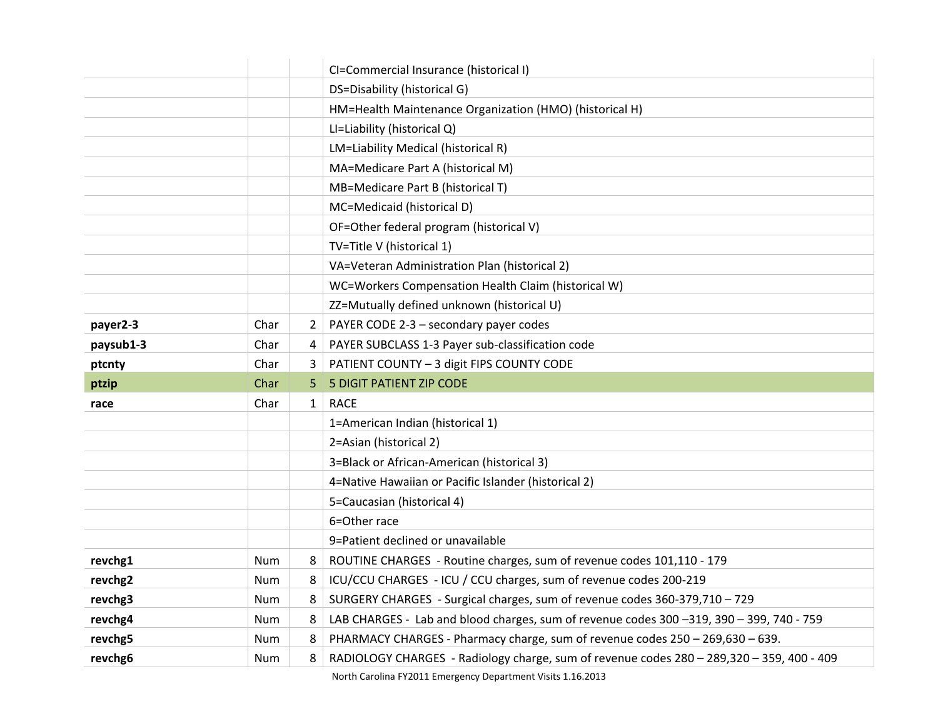|           |            |              | CI=Commercial Insurance (historical I)                                                    |
|-----------|------------|--------------|-------------------------------------------------------------------------------------------|
|           |            |              | DS=Disability (historical G)                                                              |
|           |            |              | HM=Health Maintenance Organization (HMO) (historical H)                                   |
|           |            |              | LI=Liability (historical Q)                                                               |
|           |            |              | LM=Liability Medical (historical R)                                                       |
|           |            |              | MA=Medicare Part A (historical M)                                                         |
|           |            |              | MB=Medicare Part B (historical T)                                                         |
|           |            |              | MC=Medicaid (historical D)                                                                |
|           |            |              | OF=Other federal program (historical V)                                                   |
|           |            |              | TV=Title V (historical 1)                                                                 |
|           |            |              | VA=Veteran Administration Plan (historical 2)                                             |
|           |            |              | WC=Workers Compensation Health Claim (historical W)                                       |
|           |            |              | ZZ=Mutually defined unknown (historical U)                                                |
| payer2-3  | Char       | 2            | PAYER CODE 2-3 - secondary payer codes                                                    |
| paysub1-3 | Char       | 4            | PAYER SUBCLASS 1-3 Payer sub-classification code                                          |
| ptcnty    | Char       | 3            | PATIENT COUNTY - 3 digit FIPS COUNTY CODE                                                 |
| ptzip     | Char       | 5            | <b>5 DIGIT PATIENT ZIP CODE</b>                                                           |
| race      | Char       | $\mathbf{1}$ | <b>RACE</b>                                                                               |
|           |            |              | 1=American Indian (historical 1)                                                          |
|           |            |              | 2=Asian (historical 2)                                                                    |
|           |            |              | 3=Black or African-American (historical 3)                                                |
|           |            |              | 4=Native Hawaiian or Pacific Islander (historical 2)                                      |
|           |            |              | 5=Caucasian (historical 4)                                                                |
|           |            |              | 6=Other race                                                                              |
|           |            |              | 9=Patient declined or unavailable                                                         |
| revchg1   | Num        | 8            | ROUTINE CHARGES - Routine charges, sum of revenue codes 101,110 - 179                     |
| revchg2   | Num        | 8            | ICU/CCU CHARGES - ICU / CCU charges, sum of revenue codes 200-219                         |
| revchg3   | <b>Num</b> | 8            | SURGERY CHARGES - Surgical charges, sum of revenue codes 360-379,710 - 729                |
| revchg4   | Num        | 8            | LAB CHARGES - Lab and blood charges, sum of revenue codes 300-319, 390-399, 740 - 759     |
| revchg5   | Num        | 8            | PHARMACY CHARGES - Pharmacy charge, sum of revenue codes 250 - 269,630 - 639.             |
| revchg6   | Num        | 8            | RADIOLOGY CHARGES - Radiology charge, sum of revenue codes 280 - 289,320 - 359, 400 - 409 |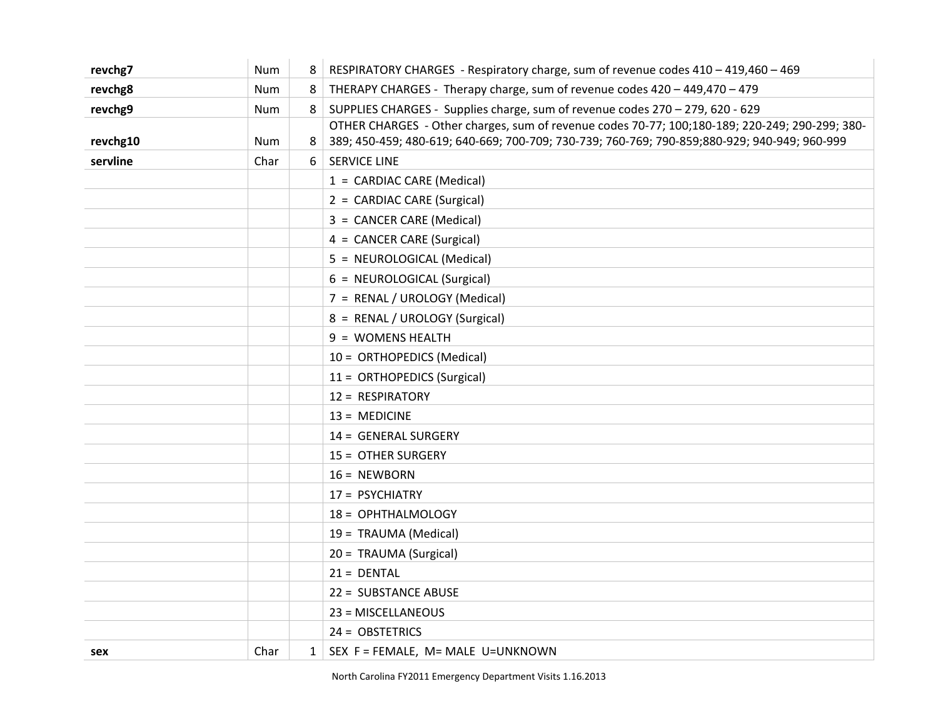| revchg7  | Num        | 8  | RESPIRATORY CHARGES - Respiratory charge, sum of revenue codes 410 - 419,460 - 469             |
|----------|------------|----|------------------------------------------------------------------------------------------------|
| revchg8  | <b>Num</b> | 8  | THERAPY CHARGES - Therapy charge, sum of revenue codes 420 - 449,470 - 479                     |
| revchg9  | Num        | 8  | SUPPLIES CHARGES - Supplies charge, sum of revenue codes 270 - 279, 620 - 629                  |
|          |            |    | OTHER CHARGES - Other charges, sum of revenue codes 70-77; 100;180-189; 220-249; 290-299; 380- |
| revchg10 | Num        | 8  | 389; 450-459; 480-619; 640-669; 700-709; 730-739; 760-769; 790-859; 880-929; 940-949; 960-999  |
| servline | Char       | 61 | <b>SERVICE LINE</b>                                                                            |
|          |            |    | 1 = CARDIAC CARE (Medical)                                                                     |
|          |            |    | 2 = CARDIAC CARE (Surgical)                                                                    |
|          |            |    | 3 = CANCER CARE (Medical)                                                                      |
|          |            |    | 4 = CANCER CARE (Surgical)                                                                     |
|          |            |    | 5 = NEUROLOGICAL (Medical)                                                                     |
|          |            |    | 6 = NEUROLOGICAL (Surgical)                                                                    |
|          |            |    | 7 = RENAL / UROLOGY (Medical)                                                                  |
|          |            |    | 8 = RENAL / UROLOGY (Surgical)                                                                 |
|          |            |    | 9 = WOMENS HEALTH                                                                              |
|          |            |    | 10 = ORTHOPEDICS (Medical)                                                                     |
|          |            |    | 11 = ORTHOPEDICS (Surgical)                                                                    |
|          |            |    | 12 = RESPIRATORY                                                                               |
|          |            |    | $13 = MEDICINE$                                                                                |
|          |            |    | 14 = GENERAL SURGERY                                                                           |
|          |            |    | 15 = OTHER SURGERY                                                                             |
|          |            |    | $16 = NEWBORN$                                                                                 |
|          |            |    | 17 = PSYCHIATRY                                                                                |
|          |            |    | 18 = OPHTHALMOLOGY                                                                             |
|          |            |    | 19 = TRAUMA (Medical)                                                                          |
|          |            |    | 20 = TRAUMA (Surgical)                                                                         |
|          |            |    | $21 = DENTAL$                                                                                  |
|          |            |    | 22 = SUBSTANCE ABUSE                                                                           |
|          |            |    | 23 = MISCELLANEOUS                                                                             |
|          |            |    | 24 = OBSTETRICS                                                                                |
| sex      | Char       |    | $1$ SEX F = FEMALE, M= MALE U=UNKNOWN                                                          |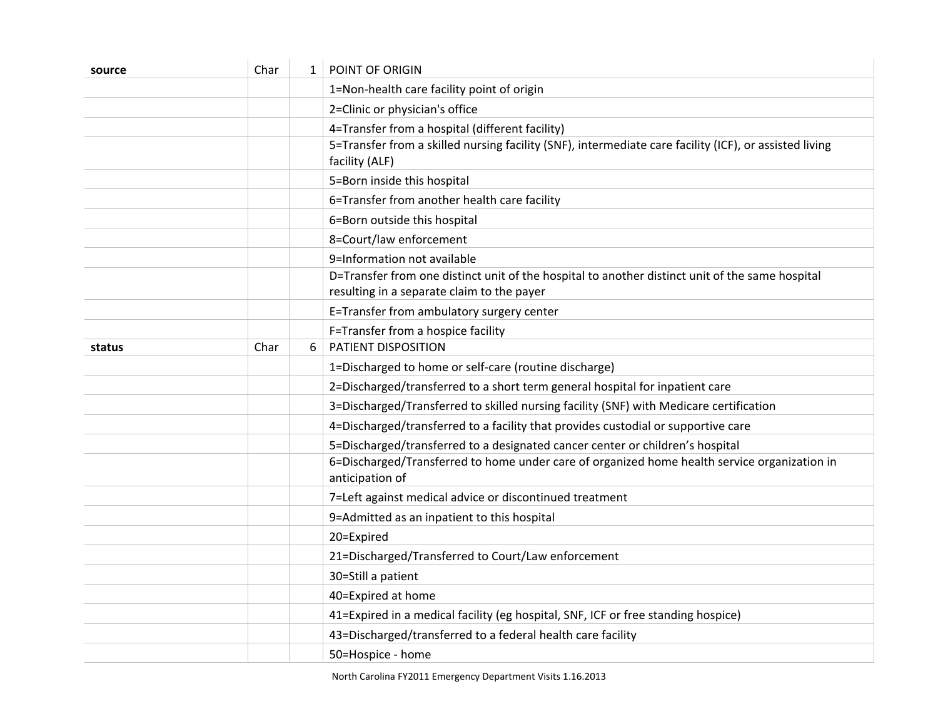| source | Char | $\mathbf{1}$ | POINT OF ORIGIN                                                                                                                               |
|--------|------|--------------|-----------------------------------------------------------------------------------------------------------------------------------------------|
|        |      |              | 1=Non-health care facility point of origin                                                                                                    |
|        |      |              | 2=Clinic or physician's office                                                                                                                |
|        |      |              | 4=Transfer from a hospital (different facility)                                                                                               |
|        |      |              | 5=Transfer from a skilled nursing facility (SNF), intermediate care facility (ICF), or assisted living                                        |
|        |      |              | facility (ALF)                                                                                                                                |
|        |      |              | 5=Born inside this hospital                                                                                                                   |
|        |      |              | 6=Transfer from another health care facility                                                                                                  |
|        |      |              | 6=Born outside this hospital                                                                                                                  |
|        |      |              | 8=Court/law enforcement                                                                                                                       |
|        |      |              | 9=Information not available                                                                                                                   |
|        |      |              | D=Transfer from one distinct unit of the hospital to another distinct unit of the same hospital<br>resulting in a separate claim to the payer |
|        |      |              | E=Transfer from ambulatory surgery center                                                                                                     |
|        |      |              | F=Transfer from a hospice facility                                                                                                            |
| status | Char | 6            | PATIENT DISPOSITION                                                                                                                           |
|        |      |              | 1=Discharged to home or self-care (routine discharge)                                                                                         |
|        |      |              | 2=Discharged/transferred to a short term general hospital for inpatient care                                                                  |
|        |      |              | 3=Discharged/Transferred to skilled nursing facility (SNF) with Medicare certification                                                        |
|        |      |              | 4=Discharged/transferred to a facility that provides custodial or supportive care                                                             |
|        |      |              | 5=Discharged/transferred to a designated cancer center or children's hospital                                                                 |
|        |      |              | 6=Discharged/Transferred to home under care of organized home health service organization in<br>anticipation of                               |
|        |      |              | 7=Left against medical advice or discontinued treatment                                                                                       |
|        |      |              | 9=Admitted as an inpatient to this hospital                                                                                                   |
|        |      |              | 20=Expired                                                                                                                                    |
|        |      |              | 21=Discharged/Transferred to Court/Law enforcement                                                                                            |
|        |      |              | 30=Still a patient                                                                                                                            |
|        |      |              | 40=Expired at home                                                                                                                            |
|        |      |              | 41=Expired in a medical facility (eg hospital, SNF, ICF or free standing hospice)                                                             |
|        |      |              | 43=Discharged/transferred to a federal health care facility                                                                                   |
|        |      |              | 50=Hospice - home                                                                                                                             |